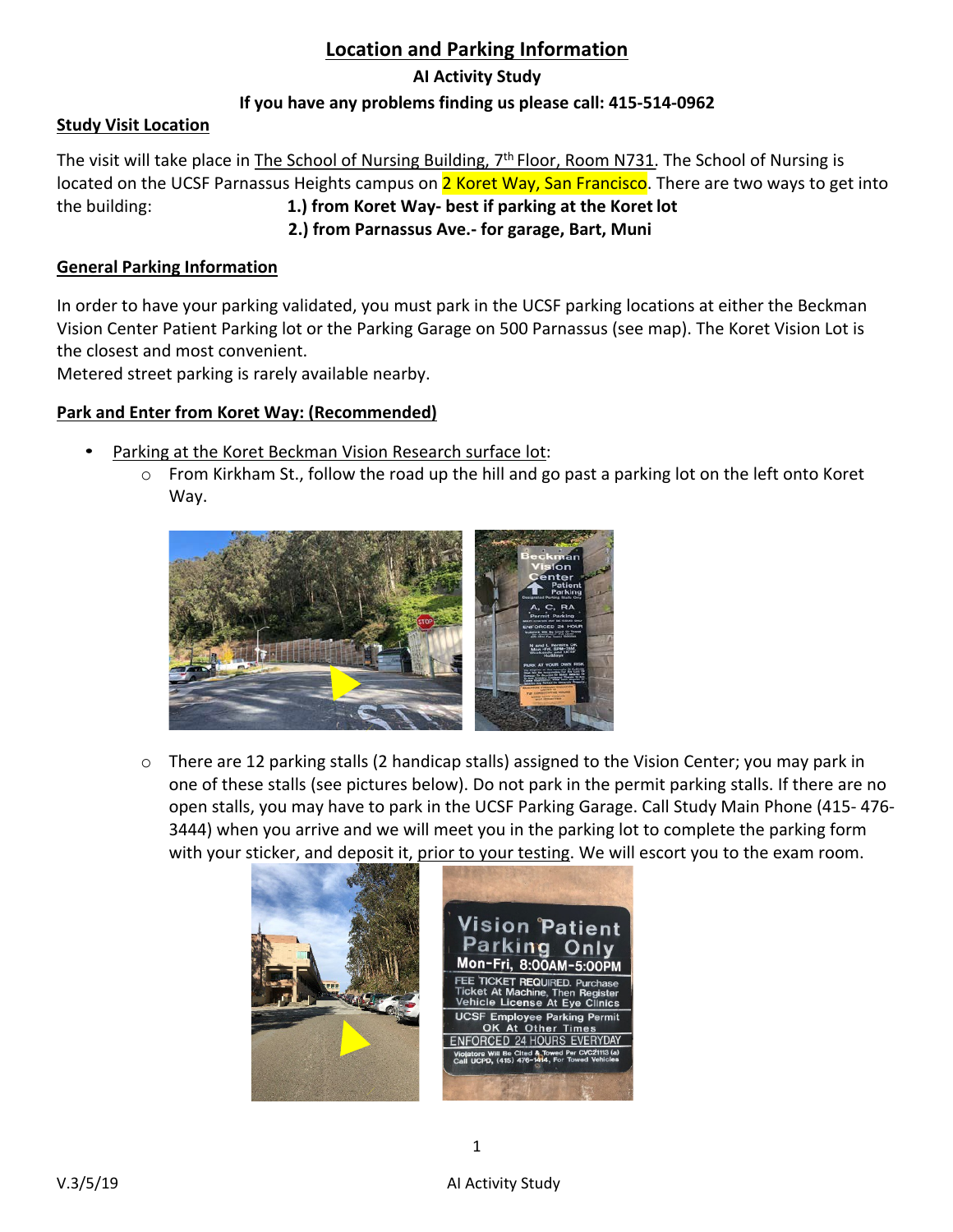# **Location and Parking Information**

### **AI Activity Study**

## **If you have any problems finding us please call: 415-514-0962**

## **Study Visit Location**

The visit will take place in The School of Nursing Building, 7<sup>th</sup> Floor, Room N731. The School of Nursing is located on the UCSF Parnassus Heights campus on 2 Koret Way, San Francisco. There are two ways to get into the building: **1.) from Koret Way- best if parking at the Koret lot 2.) from Parnassus Ave.- for garage, Bart, Muni**

#### **General Parking Information**

In order to have your parking validated, you must park in the UCSF parking locations at either the Beckman Vision Center Patient Parking lot or the Parking Garage on 500 Parnassus (see map). The Koret Vision Lot is the closest and most convenient.

Metered street parking is rarely available nearby.

#### **Park and Enter from Koret Way: (Recommended)**

- Parking at the Koret Beckman Vision Research surface lot:
	- o From Kirkham St., follow the road up the hill and go past a parking lot on the left onto Koret Way.



 $\circ$  There are 12 parking stalls (2 handicap stalls) assigned to the Vision Center; you may park in one of these stalls (see pictures below). Do not park in the permit parking stalls. If there are no open stalls, you may have to park in the UCSF Parking Garage. Call Study Main Phone (415- 476- 3444) when you arrive and we will meet you in the parking lot to complete the parking form with your sticker, and deposit it, prior to your testing. We will escort you to the exam room.